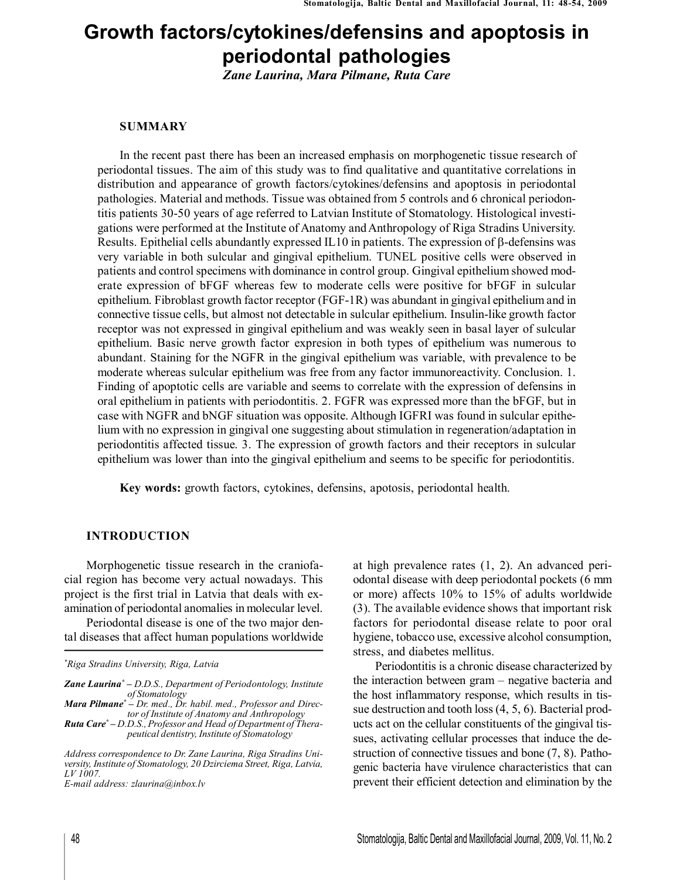# **Growth factors/cytokines/defensins and apoptosis in periodontal pathologies**

*Zane Laurina, Mara Pilmane, Ruta Care*

## **SUMMARY**

In the recent past there has been an increased emphasis on morphogenetic tissue research of periodontal tissues. The aim of this study was to find qualitative and quantitative correlations in distribution and appearance of growth factors/cytokines/defensins and apoptosis in periodontal pathologies. Material and methods. Tissue was obtained from 5 controls and 6 chronical periodontitis patients 30-50 years of age referred to Latvian Institute of Stomatology. Histological investigations were performed at the Institute of Anatomy andAnthropology of Riga Stradins University. Results. Epithelial cells abundantly expressed IL10 in patients. The expression of  $\beta$ -defensins was very variable in both sulcular and gingival epithelium. TUNEL positive cells were observed in patients and control specimens with dominance in control group. Gingival epithelium showed moderate expression of bFGF whereas few to moderate cells were positive for bFGF in sulcular epithelium. Fibroblast growth factor receptor (FGF-1R) was abundant in gingival epithelium and in connective tissue cells, but almost not detectable in sulcular epithelium. Insulin-like growth factor receptor was not expressed in gingival epithelium and was weakly seen in basal layer of sulcular epithelium. Basic nerve growth factor expresion in both types of epithelium was numerous to abundant. Staining for the NGFR in the gingival epithelium was variable, with prevalence to be moderate whereas sulcular epithelium was free from any factor immunoreactivity. Conclusion. 1. Finding of apoptotic cells are variable and seems to correlate with the expression of defensins in oral epithelium in patients with periodontitis. 2. FGFR was expressed more than the bFGF, but in case with NGFR and bNGF situation was opposite. Although IGFRI was found in sulcular epithelium with no expression in gingival one suggesting about stimulation in regeneration/adaptation in periodontitis affected tissue. 3. The expression of growth factors and their receptors in sulcular epithelium was lower than into the gingival epithelium and seems to be specific for periodontitis.

**Key words:** growth factors, cytokines, defensins, apotosis, periodontal health.

### **INTRODUCTION**

Morphogenetic tissue research in the craniofacial region has become very actual nowadays. This project is the first trial in Latvia that deals with examination of periodontal anomalies in molecular level.

Periodontal disease is one of the two major dental diseases that affect human populations worldwide

*Mara Pilmane\* – Dr. med., Dr. habil. med., Professor and Director of Institute of Anatomy and Anthropology*

*Ruta Care\* – D.D.S.,Professor and Head of Department of Therapeutical dentistry, Institute of Stomatology*

*E-mail address: zlaurina@inbox.lv*

at high prevalence rates (1, 2). An advanced periodontal disease with deep periodontal pockets (6 mm or more) affects 10% to 15% of adults worldwide (3). The available evidence shows that important risk factors for periodontal disease relate to poor oral hygiene, tobacco use, excessive alcohol consumption, stress, and diabetes mellitus.

Periodontitis is a chronic disease characterized by the interaction between gram – negative bacteria and the host inflammatory response, which results in tissue destruction and tooth loss (4, 5, 6). Bacterial products act on the cellular constituents of the gingival tissues, activating cellular processes that induce the destruction of connective tissues and bone (7, 8). Pathogenic bacteria have virulence characteristics that can prevent their efficient detection and elimination by the

*<sup>\*</sup>Riga Stradins University, Riga, Latvia*

*Zane Laurina\* – D.D.S., Department of Periodontology, Institute of Stomatology*

*Address correspondence to Dr. Zane Laurina, Riga Stradins University, Institute of Stomatology, 20 Dzirciema Street, Riga, Latvia, LV 1007.*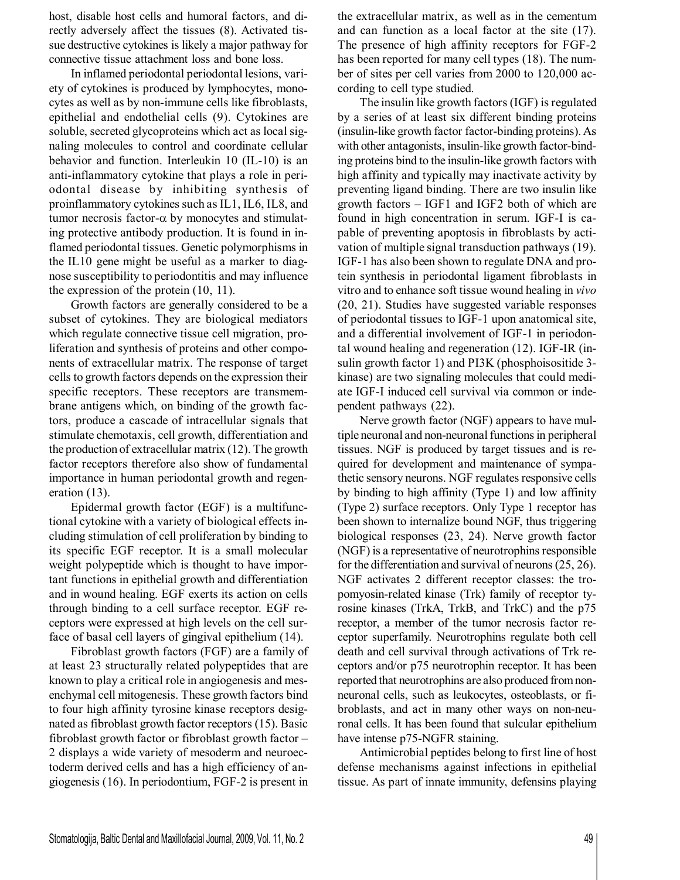host, disable host cells and humoral factors, and directly adversely affect the tissues (8). Activated tissue destructive cytokines is likely a major pathway for connective tissue attachment loss and bone loss.

In inflamed periodontal periodontal lesions, variety of cytokines is produced by lymphocytes, monocytes as well as by non-immune cells like fibroblasts, epithelial and endothelial cells (9). Cytokines are soluble, secreted glycoproteins which act as local signaling molecules to control and coordinate cellular behavior and function. Interleukin 10 (IL-10) is an anti-inflammatory cytokine that plays a role in periodontal disease by inhibiting synthesis of proinflammatory cytokines such as IL1, IL6, IL8, and tumor necrosis factor- $\alpha$  by monocytes and stimulating protective antibody production. It is found in inflamed periodontal tissues. Genetic polymorphisms in the IL10 gene might be useful as a marker to diagnose susceptibility to periodontitis and may influence the expression of the protein (10, 11).

Growth factors are generally considered to be a subset of cytokines. They are biological mediators which regulate connective tissue cell migration, proliferation and synthesis of proteins and other components of extracellular matrix. The response of target cells to growth factors depends on the expression their specific receptors. These receptors are transmembrane antigens which, on binding of the growth factors, produce a cascade of intracellular signals that stimulate chemotaxis, cell growth, differentiation and the production of extracellular matrix (12). The growth factor receptors therefore also show of fundamental importance in human periodontal growth and regeneration (13).

Epidermal growth factor (EGF) is a multifunctional cytokine with a variety of biological effects including stimulation of cell proliferation by binding to its specific EGF receptor. It is a small molecular weight polypeptide which is thought to have important functions in epithelial growth and differentiation and in wound healing. EGF exerts its action on cells through binding to a cell surface receptor. EGF receptors were expressed at high levels on the cell surface of basal cell layers of gingival epithelium (14).

Fibroblast growth factors (FGF) are a family of at least 23 structurally related polypeptides that are known to play a critical role in angiogenesis and mesenchymal cell mitogenesis. These growth factors bind to four high affinity tyrosine kinase receptors designated as fibroblast growth factor receptors (15). Basic fibroblast growth factor or fibroblast growth factor – 2 displays a wide variety of mesoderm and neuroectoderm derived cells and has a high efficiency of angiogenesis (16). In periodontium, FGF-2 is present in

the extracellular matrix, as well as in the cementum and can function as a local factor at the site (17). The presence of high affinity receptors for FGF-2 has been reported for many cell types (18). The number of sites per cell varies from 2000 to 120,000 according to cell type studied.

The insulin like growth factors (IGF) is regulated by a series of at least six different binding proteins (insulin-like growth factor factor-binding proteins).As with other antagonists, insulin-like growth factor-binding proteins bind to the insulin-like growth factors with high affinity and typically may inactivate activity by preventing ligand binding. There are two insulin like growth factors – IGF1 and IGF2 both of which are found in high concentration in serum. IGF-I is capable of preventing apoptosis in fibroblasts by activation of multiple signal transduction pathways (19). IGF-1 has also been shown to regulate DNA and protein synthesis in periodontal ligament fibroblasts in vitro and to enhance soft tissue wound healing in *vivo* (20, 21). Studies have suggested variable responses of periodontal tissues to IGF-1 upon anatomical site, and a differential involvement of IGF-1 in periodontal wound healing and regeneration (12). IGF-IR (insulin growth factor 1) and PI3K (phosphoisositide 3 kinase) are two signaling molecules that could mediate IGF-I induced cell survival via common or independent pathways (22).

Nerve growth factor (NGF) appears to have multiple neuronal and non-neuronal functions in peripheral tissues. NGF is produced by target tissues and is required for development and maintenance of sympathetic sensory neurons. NGF regulates responsive cells by binding to high affinity (Type 1) and low affinity (Type 2) surface receptors. Only Type 1 receptor has been shown to internalize bound NGF, thus triggering biological responses (23, 24). Nerve growth factor (NGF) is a representative of neurotrophins responsible for the differentiation and survival of neurons (25, 26). NGF activates 2 different receptor classes: the tropomyosin-related kinase (Trk) family of receptor tyrosine kinases (TrkA, TrkB, and TrkC) and the p75 receptor, a member of the tumor necrosis factor receptor superfamily. Neurotrophins regulate both cell death and cell survival through activations of Trk receptors and/or p75 neurotrophin receptor. It has been reported that neurotrophins are also produced fromnonneuronal cells, such as leukocytes, osteoblasts, or fibroblasts, and act in many other ways on non-neuronal cells. It has been found that sulcular epithelium have intense p75-NGFR staining.

Antimicrobial peptides belong to first line of host defense mechanisms against infections in epithelial tissue. As part of innate immunity, defensins playing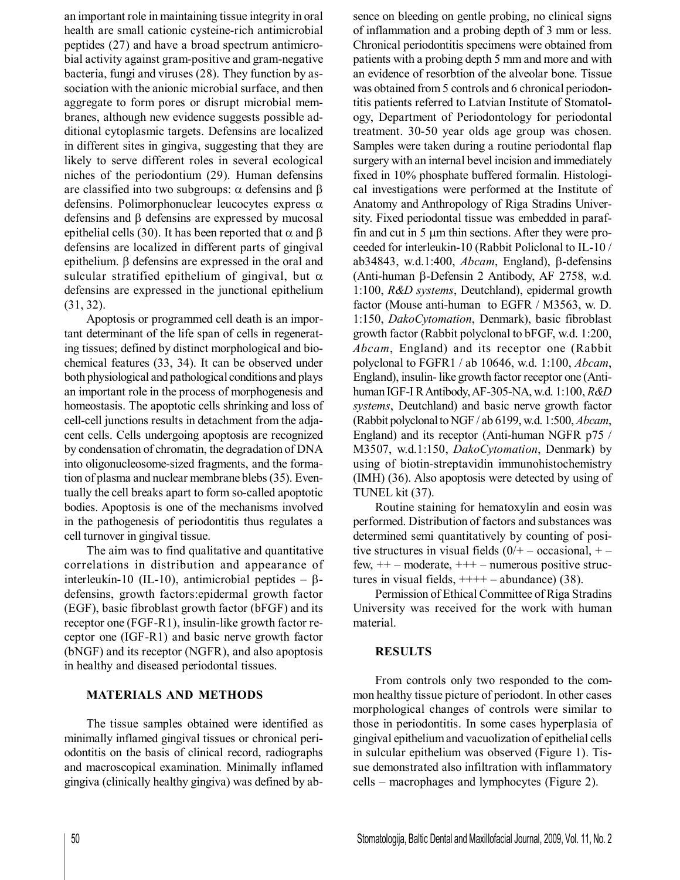an important role in maintaining tissue integrity in oral health are small cationic cysteine-rich antimicrobial peptides (27) and have a broad spectrum antimicrobial activity against gram-positive and gram-negative bacteria, fungi and viruses (28). They function by association with the anionic microbial surface, and then aggregate to form pores or disrupt microbial membranes, although new evidence suggests possible additional cytoplasmic targets. Defensins are localized in different sites in gingiva, suggesting that they are likely to serve different roles in several ecological niches of the periodontium (29). Human defensins are classified into two subgroups:  $\alpha$  defensins and  $\beta$ defensins. Polimorphonuclear leucocytes express  $\alpha$ defensins and  $\beta$  defensins are expressed by mucosal epithelial cells (30). It has been reported that  $\alpha$  and  $\beta$ defensins are localized in different parts of gingival epithelium. β defensins are expressed in the oral and sulcular stratified epithelium of gingival, but  $\alpha$ defensins are expressed in the junctional epithelium (31, 32).

Apoptosis or programmed cell death is an important determinant of the life span of cells in regenerating tissues; defined by distinct morphological and biochemical features (33, 34). It can be observed under both physiological and pathological conditions and plays an important role in the process of morphogenesis and homeostasis. The apoptotic cells shrinking and loss of cell-cell junctions results in detachment from the adjacent cells. Cells undergoing apoptosis are recognized by condensation of chromatin, the degradation of DNA into oligonucleosome-sized fragments, and the formation of plasma and nuclear membrane blebs(35). Eventually the cell breaks apart to form so-called apoptotic bodies. Apoptosis is one of the mechanisms involved in the pathogenesis of periodontitis thus regulates a cell turnover in gingival tissue.

The aim was to find qualitative and quantitative correlations in distribution and appearance of interleukin-10 (IL-10), antimicrobial peptides  $-\beta$ defensins, growth factors:epidermal growth factor (EGF), basic fibroblast growth factor (bFGF) and its receptor one (FGF-R1), insulin-like growth factor receptor one (IGF-R1) and basic nerve growth factor (bNGF) and its receptor (NGFR), and also apoptosis in healthy and diseased periodontal tissues.

## **MATERIALS AND METHODS**

The tissue samples obtained were identified as minimally inflamed gingival tissues or chronical periodontitis on the basis of clinical record, radiographs and macroscopical examination. Minimally inflamed gingiva (clinically healthy gingiva) was defined by absence on bleeding on gentle probing, no clinical signs of inflammation and a probing depth of 3 mm or less. Chronical periodontitis specimens were obtained from patients with a probing depth 5 mm and more and with an evidence of resorbtion of the alveolar bone. Tissue was obtained from 5 controls and 6 chronical periodontitis patients referred to Latvian Institute of Stomatology, Department of Periodontology for periodontal treatment. 30-50 year olds age group was chosen. Samples were taken during a routine periodontal flap surgery with an internal bevel incision and immediately fixed in 10% phosphate buffered formalin. Histological investigations were performed at the Institute of Anatomy and Anthropology of Riga Stradins University. Fixed periodontal tissue was embedded in paraffin and cut in  $5 \mu m$  thin sections. After they were proceeded for interleukin-10 (Rabbit Policlonal to IL-10 / ab34843, w.d.1:400,  $Abcam$ , England),  $\beta$ -defensins (Anti-human  $\beta$ -Defensin 2 Antibody, AF 2758, w.d. 1:100, *R&D systems*, Deutchland), epidermal growth factor (Mouse anti-human to EGFR / M3563, w. D. 1:150, *DakoCytomation*, Denmark), basic fibroblast growth factor (Rabbit polyclonal to bFGF, w.d. 1:200, *Abcam*, England) and its receptor one (Rabbit polyclonal to FGFR1 / ab 10646, w.d. 1:100, *Abcam*, England), insulin- like growth factor receptor one (Antihuman IGF-I RAntibody,AF-305-NA, w.d. 1:100, *R&D systems*, Deutchland) and basic nerve growth factor (Rabbit polyclonaltoNGF / ab 6199, w.d. 1:500, *Abcam*, England) and its receptor (Anti-human NGFR p75 / M3507, w.d.1:150, *DakoCytomation*, Denmark) by using of biotin-streptavidin immunohistochemistry (IMH) (36). Also apoptosis were detected by using of TUNEL kit (37).

Routine staining for hematoxylin and eosin was performed. Distribution of factors and substances was determined semi quantitatively by counting of positive structures in visual fields  $(0/- - \text{occasional}, +$ few,  $++$  – moderate,  $++$  – numerous positive structures in visual fields,  $+++-$  abundance) (38).

Permission of Ethical Committee of Riga Stradins University was received for the work with human material.

## **RESULTS**

From controls only two responded to the common healthy tissue picture of periodont. In other cases morphological changes of controls were similar to those in periodontitis. In some cases hyperplasia of gingival epitheliumand vacuolization of epithelial cells in sulcular epithelium was observed (Figure 1). Tissue demonstrated also infiltration with inflammatory cells – macrophages and lymphocytes (Figure 2).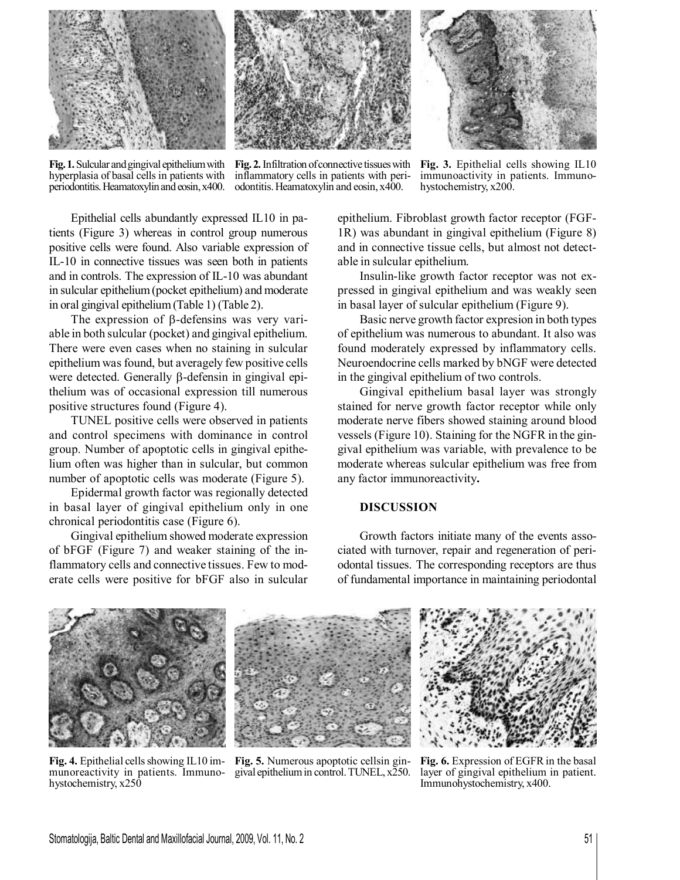

**Fig.1.** Sulcular andgingival epitheliumwith hyperplasia of basal cells in patients with periodontitis.Heamatoxylinandeosin,x400.

**Fig. 2.** Infiltration ofconnective tissueswith inflammatory cells in patients with periodontitis.Heamatoxylin and eosin, x400.

**Fig. 3.** Epithelial cells showing IL10 immunoactivity in patients. Immunohystochemistry, x200.

Epithelial cells abundantly expressed IL10 in patients (Figure 3) whereas in control group numerous positive cells were found. Also variable expression of IL-10 in connective tissues was seen both in patients and in controls. The expression of IL-10 was abundant in sulcular epithelium(pocket epithelium) and moderate in oral gingival epithelium(Table 1) (Table 2).

The expression of  $\beta$ -defensins was very variable in both sulcular (pocket) and gingival epithelium. There were even cases when no staining in sulcular epithelium was found, but averagely few positive cells were detected. Generally  $\beta$ -defensin in gingival epithelium was of occasional expression till numerous positive structures found (Figure 4).

TUNEL positive cells were observed in patients and control specimens with dominance in control group. Number of apoptotic cells in gingival epithelium often was higher than in sulcular, but common number of apoptotic cells was moderate (Figure 5).

Epidermal growth factor was regionally detected in basal layer of gingival epithelium only in one chronical periodontitis case (Figure 6).

Gingival epithelium showed moderate expression of bFGF (Figure 7) and weaker staining of the inflammatory cells and connective tissues. Few to moderate cells were positive for bFGF also in sulcular epithelium. Fibroblast growth factor receptor (FGF-1R) was abundant in gingival epithelium (Figure 8) and in connective tissue cells, but almost not detectable in sulcular epithelium.

Insulin-like growth factor receptor was not expressed in gingival epithelium and was weakly seen in basal layer of sulcular epithelium (Figure 9).

Basic nerve growth factor expresion in both types of epithelium was numerous to abundant. It also was found moderately expressed by inflammatory cells. Neuroendocrine cells marked by bNGF were detected in the gingival epithelium of two controls.

Gingival epithelium basal layer was strongly stained for nerve growth factor receptor while only moderate nerve fibers showed staining around blood vessels (Figure 10). Staining for the NGFR in the gingival epithelium was variable, with prevalence to be moderate whereas sulcular epithelium was free from any factor immunoreactivity**.**

## **DISCUSSION**

Growth factors initiate many of the events associated with turnover, repair and regeneration of periodontal tissues. The corresponding receptors are thus of fundamental importance in maintaining periodontal



**Fig. 4.** Epithelial cells showing IL10 immunoreactivity in patients. Immunohystochemistry, x250



**Fig. 5.** Numerous apoptotic cellsin gingival epitheliumin control.TUNEL, x250.



**Fig. 6.** Expression of EGFRin the basal layer of gingival epithelium in patient. Immunohystochemistry, x400.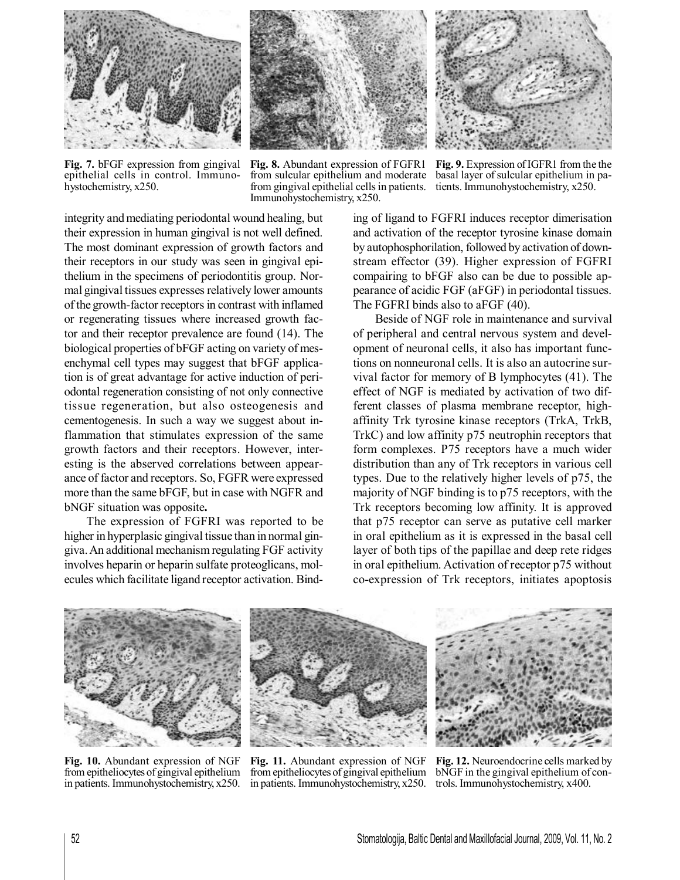

**Fig. 7.** bFGF expression from gingival epithelial cells in control. Immunohystochemistry, x250.

**Fig. 8.** Abundant expression of FGFR1 from sulcular epithelium and moderate from gingival epithelial cells in patients. tients. Immunohystochemistry, x250. Immunohystochemistry, x250.



**Fig. 9.** Expression ofIGFR1 from the the basal layer of sulcular epithelium in pa-

integrity and mediating periodontal wound healing, but their expression in human gingival is not well defined. The most dominant expression of growth factors and their receptors in our study was seen in gingival epithelium in the specimens of periodontitis group. Normal gingival tissues expresses relatively lower amounts of the growth-factor receptors in contrast with inflamed or regenerating tissues where increased growth factor and their receptor prevalence are found (14). The biological properties of bFGF acting on variety of mesenchymal cell types may suggest that bFGF application is of great advantage for active induction of periodontal regeneration consisting of not only connective tissue regeneration, but also osteogenesis and cementogenesis. In such a way we suggest about inflammation that stimulates expression of the same growth factors and their receptors. However, interesting is the abserved correlations between appearance of factor and receptors. So, FGFR were expressed more than the same bFGF, but in case with NGFR and bNGF situation was opposite**.**

The expression of FGFRI was reported to be higher in hyperplasic gingival tissue than in normal gingiva.An additional mechanism regulating FGF activity involves heparin or heparin sulfate proteoglicans, molecules which facilitate ligand receptor activation. Binding of ligand to FGFRI induces receptor dimerisation and activation of the receptor tyrosine kinase domain by autophosphorilation, followed by activation of downstream effector (39). Higher expression of FGFRI compairing to bFGF also can be due to possible appearance of acidic FGF (aFGF) in periodontal tissues. The FGFRI binds also to aFGF (40).

Beside of NGF role in maintenance and survival of peripheral and central nervous system and development of neuronal cells, it also has important functions on nonneuronal cells. It is also an autocrine survival factor for memory of B lymphocytes (41). The effect of NGF is mediated by activation of two different classes of plasma membrane receptor, highaffinity Trk tyrosine kinase receptors (TrkA, TrkB, TrkC) and low affinity p75 neutrophin receptors that form complexes. P75 receptors have a much wider distribution than any of Trk receptors in various cell types. Due to the relatively higher levels of p75, the majority of NGF binding is to p75 receptors, with the Trk receptors becoming low affinity. It is approved that p75 receptor can serve as putative cell marker in oral epithelium as it is expressed in the basal cell layer of both tips of the papillae and deep rete ridges in oral epithelium. Activation of receptor p75 without co-expression of Trk receptors, initiates apoptosis



**Fig. 10.** Abundant expression of NGF from epitheliocytes of gingival epithelium in patients. Immunohystochemistry, x250.



**Fig. 11.** Abundant expression of NGF from epitheliocytes of gingival epithelium in patients. Immunohystochemistry, x250.



**Fig. 12.** Neuroendocrine cells marked by bNGF in the gingival epithelium of controls. Immunohystochemistry, x400.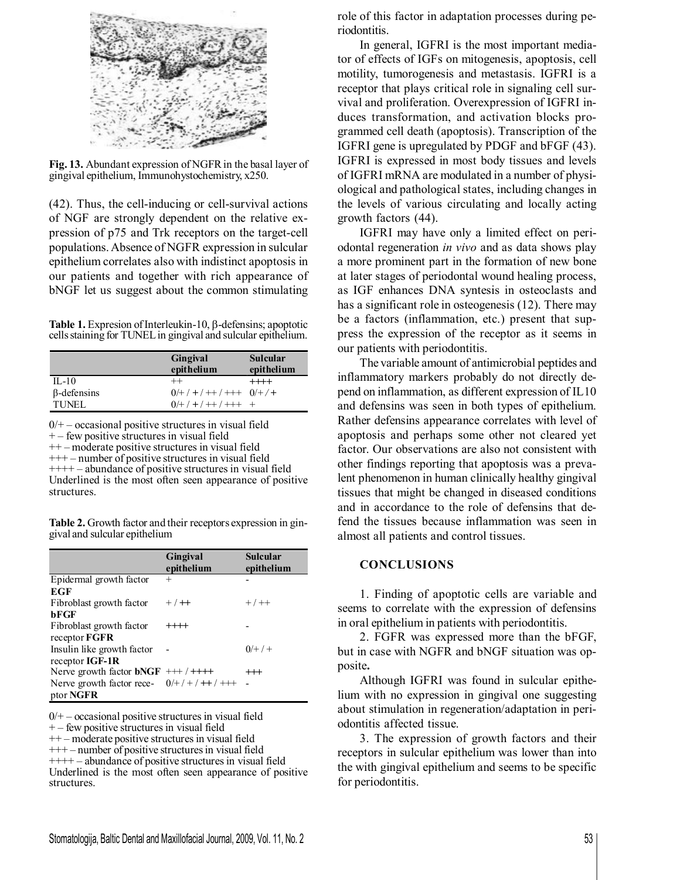

**Fig. 13.** Abundant expression of NGFRin the basal layer of gingival epithelium, Immunohystochemistry, x250.

(42). Thus, the cell-inducing or cell-survival actions of NGF are strongly dependent on the relative expression of p75 and Trk receptors on the target-cell populations.Absence of NGFR expression in sulcular epithelium correlates also with indistinct apoptosis in our patients and together with rich appearance of bNGF let us suggest about the common stimulating

Table 1. Expresion of Interleukin-10, β-defensins; apoptotic cells staining for TUNEL in gingival and sulcular epithelium.

|                    | Gingival<br>epithelium           | <b>Sulcular</b><br>epithelium |
|--------------------|----------------------------------|-------------------------------|
| $II - 10$          | $^{++}$                          | $++++-$                       |
| $\beta$ -defensins | $0/+$ / + / + + / + + + 0/ + / + |                               |
| <b>TUNEL</b>       | $0/+$ / + / + + / + + +          |                               |

 $0/+$  – occasional positive structures in visual field + – few positive structures in visual field ++ – moderate positive structures in visual field

+++ – number of positive structures in visual field ++++ – abundance of positive structures in visual field Underlined is the most often seen appearance of positive structures.

**Table 2.** Growth factor and their receptors expression in gingival and sulcular epithelium

|                                         | Gingival<br>epithelium | <b>Sulcular</b><br>epithelium |
|-----------------------------------------|------------------------|-------------------------------|
| Epidermal growth factor                 | $^{+}$                 |                               |
| EGF                                     |                        |                               |
| Fibroblast growth factor                | $+$ / $+$              | $+ / + +$                     |
| bFGF                                    |                        |                               |
| Fibroblast growth factor                | $++++-$                |                               |
| receptor FGFR                           |                        |                               |
| Insulin like growth factor              |                        | $0/+/+)$                      |
| receptor IGF-1R                         |                        |                               |
| Nerve growth factor $bNGF$ +++ / ++++   |                        | $^{+++}$                      |
| Nerve growth factor rece- $0/+/+/+/+++$ |                        |                               |
| ptor NGFR                               |                        |                               |

 $0/+$  – occasional positive structures in visual field

 $+$  – few positive structures in visual field

++ – moderate positive structuresin visual field

+++ – number of positive structuresin visual field

 $++++$  – abundance of positive structures in visual field Underlined is the most often seen appearance of positive structures.

role of this factor in adaptation processes during periodontitis.

In general, IGFRI is the most important mediator of effects of IGFs on mitogenesis, apoptosis, cell motility, tumorogenesis and metastasis. IGFRI is a receptor that plays critical role in signaling cell survival and proliferation. Overexpression of IGFRI induces transformation, and activation blocks programmed cell death (apoptosis). Transcription of the IGFRI gene is upregulated by PDGF and bFGF (43). IGFRI is expressed in most body tissues and levels of IGFRI mRNA are modulated in a number of physiological and pathological states, including changes in the levels of various circulating and locally acting growth factors (44).

IGFRI may have only a limited effect on periodontal regeneration *in vivo* and as data shows play a more prominent part in the formation of new bone at later stages of periodontal wound healing process, as IGF enhances DNA syntesis in osteoclasts and has a significant role in osteogenesis (12). There may be a factors (inflammation, etc.) present that suppress the expression of the receptor as it seems in our patients with periodontitis.

The variable amount of antimicrobial peptides and inflammatory markers probably do not directly depend on inflammation, as different expression of IL10 and defensins was seen in both types of epithelium. Rather defensins appearance correlates with level of apoptosis and perhaps some other not cleared yet factor. Our observations are also not consistent with other findings reporting that apoptosis was a prevalent phenomenon in human clinically healthy gingival tissues that might be changed in diseased conditions and in accordance to the role of defensins that defend the tissues because inflammation was seen in almost all patients and control tissues.

## **CONCLUSIONS**

1. Finding of apoptotic cells are variable and seems to correlate with the expression of defensins in oral epithelium in patients with periodontitis.

2. FGFR was expressed more than the bFGF, but in case with NGFR and bNGF situation was opposite**.**

Although IGFRI was found in sulcular epithelium with no expression in gingival one suggesting about stimulation in regeneration/adaptation in periodontitis affected tissue.

3. The expression of growth factors and their receptors in sulcular epithelium was lower than into the with gingival epithelium and seems to be specific for periodontitis.